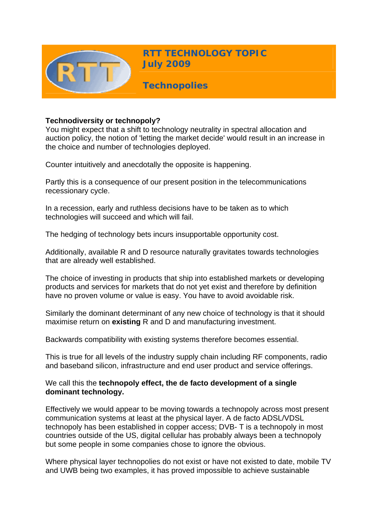

**RTT TECHNOLOGY TOPIC July 2009**

**Technopolies** 

## **Technodiversity or technopoly?**

You might expect that a shift to technology neutrality in spectral allocation and auction policy, the notion of 'letting the market decide' would result in an increase in the choice and number of technologies deployed.

Counter intuitively and anecdotally the opposite is happening.

Partly this is a consequence of our present position in the telecommunications recessionary cycle.

In a recession, early and ruthless decisions have to be taken as to which technologies will succeed and which will fail.

The hedging of technology bets incurs insupportable opportunity cost.

Additionally, available R and D resource naturally gravitates towards technologies that are already well established.

The choice of investing in products that ship into established markets or developing products and services for markets that do not yet exist and therefore by definition have no proven volume or value is easy. You have to avoid avoidable risk.

Similarly the dominant determinant of any new choice of technology is that it should maximise return on **existing** R and D and manufacturing investment.

Backwards compatibility with existing systems therefore becomes essential.

This is true for all levels of the industry supply chain including RF components, radio and baseband silicon, infrastructure and end user product and service offerings.

## We call this the **technopoly effect, the de facto development of a single dominant technology.**

Effectively we would appear to be moving towards a technopoly across most present communication systems at least at the physical layer. A de facto ADSL/VDSL technopoly has been established in copper access; DVB- T is a technopoly in most countries outside of the US, digital cellular has probably always been a technopoly but some people in some companies chose to ignore the obvious.

Where physical layer technopolies do not exist or have not existed to date, mobile TV and UWB being two examples, it has proved impossible to achieve sustainable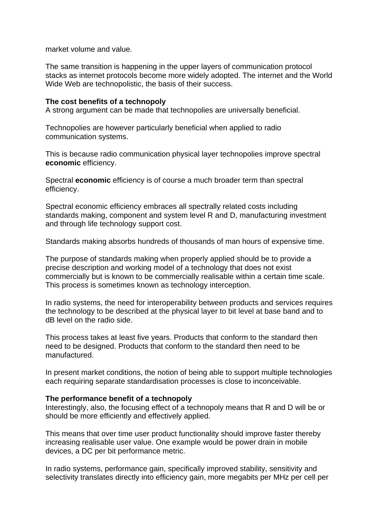market volume and value.

The same transition is happening in the upper layers of communication protocol stacks as internet protocols become more widely adopted. The internet and the World Wide Web are technopolistic, the basis of their success.

#### **The cost benefits of a technopoly**

A strong argument can be made that technopolies are universally beneficial.

Technopolies are however particularly beneficial when applied to radio communication systems.

This is because radio communication physical layer technopolies improve spectral **economic** efficiency.

Spectral **economic** efficiency is of course a much broader term than spectral efficiency.

Spectral economic efficiency embraces all spectrally related costs including standards making, component and system level R and D, manufacturing investment and through life technology support cost.

Standards making absorbs hundreds of thousands of man hours of expensive time.

The purpose of standards making when properly applied should be to provide a precise description and working model of a technology that does not exist commercially but is known to be commercially realisable within a certain time scale. This process is sometimes known as technology interception.

In radio systems, the need for interoperability between products and services requires the technology to be described at the physical layer to bit level at base band and to dB level on the radio side.

This process takes at least five years. Products that conform to the standard then need to be designed. Products that conform to the standard then need to be manufactured.

In present market conditions, the notion of being able to support multiple technologies each requiring separate standardisation processes is close to inconceivable.

#### **The performance benefit of a technopoly**

Interestingly, also, the focusing effect of a technopoly means that R and D will be or should be more efficiently and effectively applied.

This means that over time user product functionality should improve faster thereby increasing realisable user value. One example would be power drain in mobile devices, a DC per bit performance metric.

In radio systems, performance gain, specifically improved stability, sensitivity and selectivity translates directly into efficiency gain, more megabits per MHz per cell per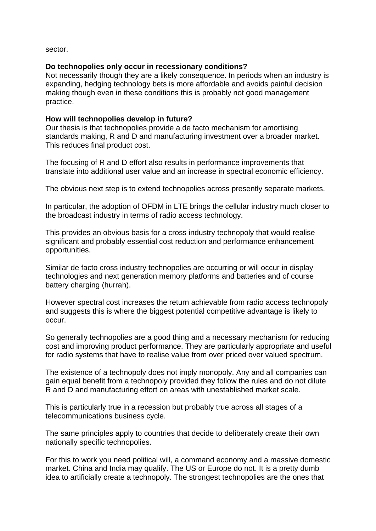sector.

## **Do technopolies only occur in recessionary conditions?**

Not necessarily though they are a likely consequence. In periods when an industry is expanding, hedging technology bets is more affordable and avoids painful decision making though even in these conditions this is probably not good management practice.

# **How will technopolies develop in future?**

Our thesis is that technopolies provide a de facto mechanism for amortising standards making, R and D and manufacturing investment over a broader market. This reduces final product cost.

The focusing of R and D effort also results in performance improvements that translate into additional user value and an increase in spectral economic efficiency.

The obvious next step is to extend technopolies across presently separate markets.

In particular, the adoption of OFDM in LTE brings the cellular industry much closer to the broadcast industry in terms of radio access technology.

This provides an obvious basis for a cross industry technopoly that would realise significant and probably essential cost reduction and performance enhancement opportunities.

Similar de facto cross industry technopolies are occurring or will occur in display technologies and next generation memory platforms and batteries and of course battery charging (hurrah).

However spectral cost increases the return achievable from radio access technopoly and suggests this is where the biggest potential competitive advantage is likely to occur.

So generally technopolies are a good thing and a necessary mechanism for reducing cost and improving product performance. They are particularly appropriate and useful for radio systems that have to realise value from over priced over valued spectrum.

The existence of a technopoly does not imply monopoly. Any and all companies can gain equal benefit from a technopoly provided they follow the rules and do not dilute R and D and manufacturing effort on areas with unestablished market scale.

This is particularly true in a recession but probably true across all stages of a telecommunications business cycle.

The same principles apply to countries that decide to deliberately create their own nationally specific technopolies.

For this to work you need political will, a command economy and a massive domestic market. China and India may qualify. The US or Europe do not. It is a pretty dumb idea to artificially create a technopoly. The strongest technopolies are the ones that